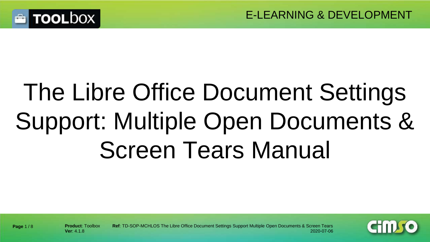

# The Libre Office Document Settings Support: Multiple Open Documents & Screen Tears Manual



**Page** 1 / 8

**Product**: Toolbox **Ref**: TD-SOP-MCHLOS The Libre Office Document Settings Support Multiple Open Documents & Screen Tears **Ver**: 4.1.8 2020-07-06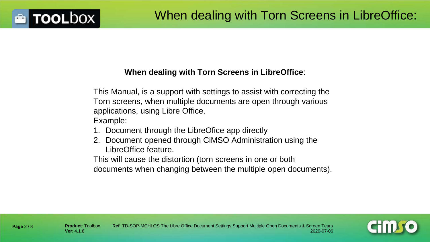#### **When dealing with Torn Screens in LibreOffice**:

This Manual, is a support with settings to assist with correcting the Torn screens, when multiple documents are open through various applications, using Libre Office.

Example:

- 1. Document through the LibreOfice app directly
- 2. Document opened through CiMSO Administration using the LibreOffice feature.

This will cause the distortion (torn screens in one or both documents when changing between the multiple open documents).



**TOOLDOX** 

**Page** 2 / 8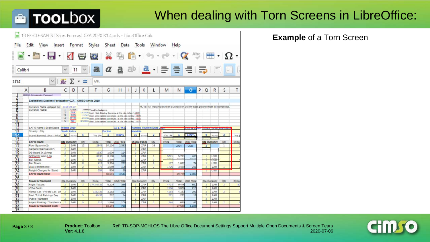# **E** TOOLbOX

#### When dealing with Torn Screens in LibreOffice:

| l and                     | 10 F3-CD-SAFCST Sales Forecast CZA 2020 R1.4.ods - LibreOffice Calc                        |                                      |                                                      |                  |                             |                |                                                                                                                                                                                                                                                                                  |                |                     |                           |                                                                                          |              |                                             |                |                     |                |              |
|---------------------------|--------------------------------------------------------------------------------------------|--------------------------------------|------------------------------------------------------|------------------|-----------------------------|----------------|----------------------------------------------------------------------------------------------------------------------------------------------------------------------------------------------------------------------------------------------------------------------------------|----------------|---------------------|---------------------------|------------------------------------------------------------------------------------------|--------------|---------------------------------------------|----------------|---------------------|----------------|--------------|
| File                      | Edit<br>View<br>Insert                                                                     |                                      | Format                                               |                  | Styles                      | Sheet          | Data                                                                                                                                                                                                                                                                             |                | Tools               | Window                    |                                                                                          | He           |                                             |                |                     |                |              |
|                           |                                                                                            |                                      |                                                      |                  |                             |                | 早                                                                                                                                                                                                                                                                                | $\blacksquare$ |                     |                           | $\mathcal{L}_0$ , $\mathcal{O}_1$ , $\mathcal{O}_2$ absent $\mathbf{E}$ , $\mathbf{V}$ , |              |                                             |                |                     |                |              |
|                           | Calibri                                                                                    |                                      | 11                                                   |                  | a                           |                | $a$ a ab $a \cdot \equiv \equiv \equiv \equiv \equiv \equiv \equiv$                                                                                                                                                                                                              |                |                     |                           |                                                                                          |              |                                             |                |                     |                |              |
| 014                       | $\checkmark$                                                                               | $f_{\mathbb{X}}$ $\Sigma$            |                                                      | $\equiv$<br>$\;$ | 5%                          |                |                                                                                                                                                                                                                                                                                  |                |                     |                           |                                                                                          |              |                                             |                |                     |                |              |
|                           | B<br>А                                                                                     | C                                    | D                                                    | E                | F                           | G              | н                                                                                                                                                                                                                                                                                | Ł<br>J         | Κ                   | L                         | M                                                                                        | N            | $\Omega$                                    | P<br>Q         | R                   | S              | T            |
|                           | CIVICO Administrator Passeard<br>Expositions Expense Forecast for CZA - CIM SO Africa 2019 |                                      |                                                      |                  |                             |                |                                                                                                                                                                                                                                                                                  |                |                     |                           |                                                                                          |              |                                             |                |                     |                |              |
| å<br>10                   | Currency Table updated on:<br>Currency Table:                                              | $\overline{z}$<br>3<br>$\Delta$<br>5 | 2018-03-10<br><b>USD</b><br>ZAR<br>560<br>MYR<br>TEH |                  | 1.00000 sized for budgeting |                | 14.21925 travel Hust Churtry Currently at the rate to tay 1 USD<br>1.37257 pesset cather quoted conversion at the rate to taxy 1 UED<br>4.13743 travel other quoted correction of the rate to the 1.1523<br>37.79913 (reseat other quicked conversion at the rule to they 1 USD) |                |                     |                           | NOTE: All input fields with biue text only ellow back ground must be dompleted.          |              |                                             |                |                     |                |              |
| 12                        | EXPO Name   Expo Dates                                                                     |                                      | Indaba 2019                                          |                  |                             |                | 15-17 Mar                                                                                                                                                                                                                                                                        |                |                     | Namibia Tourism Expo 2 22 |                                                                                          |              | the method has lizent at concern music when |                |                     |                |              |
| 13                        | Country   City                                                                             |                                      | South Africa                                         |                  |                             | Durban         |                                                                                                                                                                                                                                                                                  | <b>Mamibia</b> |                     |                           |                                                                                          |              |                                             |                |                     |                |              |
| 14<br>15                  | Stand Size m2   Pax   Inflat 12                                                            |                                      | <b>Bac Page</b>                                      | 5                | <b>Yis 1%</b>               | $\mathbf{1}$   | 8.00%                                                                                                                                                                                                                                                                            | 15             | <b>With Place</b>   | $\overline{2}$            | Yes 1%                                                                                   | 1            | 5.00%<br>⊨                                  | $\overline{9}$ |                     | $\overline{z}$ | Yrs I        |
| 16                        | EXPO Stand                                                                                 |                                      | <b>Qte Currency</b>                                  | QV.              | Price                       | Total          | USD TX#                                                                                                                                                                                                                                                                          |                | <b>Ote Currency</b> | Oty                       | Price                                                                                    | Total        | USD Total                                   |                | <b>Qto Currency</b> | Qty            | <b>Price</b> |
| 17                        | Floor Space (m2)                                                                           | $\mathbb{Z}$                         | ZAR                                                  | 32               | 284                         | 34,116         | 2.383                                                                                                                                                                                                                                                                            | $\overline{z}$ | ZAR                 | 16                        |                                                                                          | ZAR          | <b>USD</b>                                  |                |                     | $\ddot{ }$     |              |
| 18                        | Carpets Charcoal (m2)                                                                      | 2                                    | ZAR                                                  |                  |                             |                |                                                                                                                                                                                                                                                                                  | $\overline{z}$ | ZAR                 |                           |                                                                                          |              |                                             |                |                     |                |              |
| 19                        | DB Board 2x15Amp                                                                           | $\overline{z}$                       | ZAR                                                  | x                | 163                         | 1.630          | 114                                                                                                                                                                                                                                                                              | 2              | ZAR                 |                           |                                                                                          |              |                                             |                |                     |                |              |
|                           | Octonoms Wall (Lm)                                                                         | $\overline{z}$                       | ZAR                                                  | $\mathbf{1}$     | 8130                        | 8.13           | 568                                                                                                                                                                                                                                                                              | $\mathbb{Z}$   | ZAR                 | $\mathbf{1}$              | 572                                                                                      | 5.72         | 400                                         |                | <b>USD</b>          |                |              |
|                           | Bar Tables                                                                                 |                                      | ZAR                                                  | $\overline{3}$   | 480                         | 1,440          | 101                                                                                                                                                                                                                                                                              | $\overline{2}$ | ZAR                 | $\overline{3}$            |                                                                                          |              |                                             |                | USD                 |                |              |
|                           |                                                                                            | $\overline{z}$                       |                                                      |                  |                             |                |                                                                                                                                                                                                                                                                                  |                |                     |                           |                                                                                          |              |                                             |                |                     |                |              |
|                           | <b>Bar Stools</b>                                                                          | $\mathbf{2}$                         | ZAR                                                  | $\overline{a}$   | 435                         | 3.32           | 232                                                                                                                                                                                                                                                                              | $\overline{z}$ | ZAR                 | 6                         | 177                                                                                      | 1.062        | 74                                          |                | <b>USD</b>          |                |              |
|                           | LED Monitors (40")                                                                         | $\mathbf{z}$                         | ZAR                                                  | $\overline{z}$   | TT5                         | 1.550          | 108                                                                                                                                                                                                                                                                              | $\overline{z}$ | ZAR                 | $\overline{z}$            | 172                                                                                      | 3.45         | 243                                         |                | ZAR                 | 3              |              |
|                           | Freight Charges for Stand                                                                  | $\overline{z}$                       | ZAR                                                  | 2 <sup>1</sup>   | 254                         | 508            | 35                                                                                                                                                                                                                                                                               | $\overline{2}$ | ZAR                 |                           |                                                                                          |              |                                             |                |                     |                |              |
|                           | <b>EXPO Stand Cost:</b>                                                                    |                                      |                                                      |                  |                             | 50.69          | 3.541                                                                                                                                                                                                                                                                            |                |                     |                           |                                                                                          | 29.77        | 2.080                                       |                |                     |                |              |
|                           |                                                                                            |                                      |                                                      |                  |                             |                |                                                                                                                                                                                                                                                                                  |                |                     |                           |                                                                                          |              |                                             |                |                     |                |              |
|                           | <b>Travel &amp; Transport</b>                                                              |                                      | Qte Currency                                         | Cty              | Price                       |                | Total USD Total                                                                                                                                                                                                                                                                  |                | Ote Currency        | Qty                       | <b>Price</b>                                                                             |              | Total USD Total                             |                | Ote Currency        | Qty            |              |
|                           | Filight Tickets                                                                            | -2                                   | ZAR                                                  | $\overline{3}$   | 1743.073                    | 5.229          | 365                                                                                                                                                                                                                                                                              | $\mathbf{z}$   | ZAR                 | $\overline{a}$            | 472                                                                                      | 9.446        | 660                                         | $\overline{z}$ | ZAR                 | $\overline{z}$ |              |
|                           | VISA Costs                                                                                 | $\overline{2}$                       | ZAR                                                  |                  |                             |                |                                                                                                                                                                                                                                                                                  | $\overline{z}$ | ZAR                 | $\overline{z}$            | 150                                                                                      | 3,000        | 210                                         | $\overline{z}$ | ZAR                 |                |              |
|                           | Rental Car / Private Car / D.                                                              | $\overline{2}$                       | ZAR                                                  |                  | 3182.35                     | 3,182          | 222                                                                                                                                                                                                                                                                              | $\overline{z}$ | ZAR                 | 1                         | 418                                                                                      | 4.183        | 292                                         | $\overline{z}$ | ZAR                 | 2              |              |
|                           | Fuel, Toll & Parking / Day                                                                 | $\mathbb{Z}$                         | ZAR                                                  | $\overline{5}$   | 40.3                        | 202            | 14                                                                                                                                                                                                                                                                               | $\overline{z}$ | ZAR                 | $\mathbb{R}$              | 27                                                                                       | 271          | 19                                          | $\overline{z}$ | ZAR                 |                |              |
| 2021223242545             | <b>Public Transport</b>                                                                    | -2                                   | ZAR                                                  |                  |                             |                |                                                                                                                                                                                                                                                                                  | $\overline{z}$ | ZAR                 |                           |                                                                                          |              |                                             | $\mathbb{Z}$   | <b>ZAR</b>          |                |              |
| BRANCHAR<br>$rac{34}{35}$ | Airport Park ing / Transfer/ca                                                             | $\mathbb{Z}$                         | ZAR                                                  | 5                | 312                         | 1.560<br>10.17 | 109<br>710                                                                                                                                                                                                                                                                       | $\overline{z}$ | ZAR                 | 2                         | 340                                                                                      | 680<br>17.58 | 47<br>1.228                                 | $\overline{z}$ | ZAR                 | $\overline{z}$ | Price        |

#### **Example** of a Torn Screen

**Page** 3 / 8

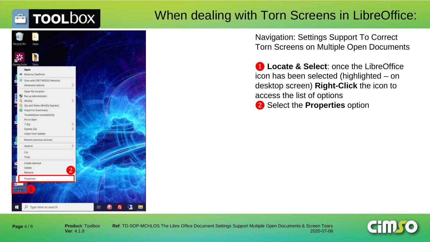# **TOOLDOX**

### When dealing with Torn Screens in LibreOffice:



Navigation: Settings Support To Correct Torn Screens on Multiple Open Documents

❶ **Locate & Select**: once the LibreOffice icon has been selected (highlighted – on desktop screen) **Right-Click** the icon to access the list of options ❷ Select the **Properties** option

**Page** 4 / 8

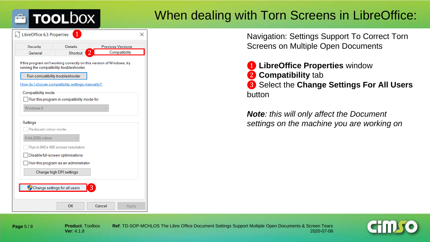#### When dealing with Torn Screens in LibreOffice:

| LibreOffice 6.3 Properties                                                                                           | 1                                                |        | x                        |  |  |  |  |  |
|----------------------------------------------------------------------------------------------------------------------|--------------------------------------------------|--------|--------------------------|--|--|--|--|--|
| Security                                                                                                             | <b>Details</b>                                   |        | <b>Previous Versions</b> |  |  |  |  |  |
| General                                                                                                              | Shortcut                                         |        | Compatibility            |  |  |  |  |  |
| If this program isn't working correctly on this version of Windows, try<br>running the compatibility troubleshooter. |                                                  |        |                          |  |  |  |  |  |
|                                                                                                                      | Run compatibility troubleshooter                 |        |                          |  |  |  |  |  |
|                                                                                                                      | How do I choose compatibility settings manually? |        |                          |  |  |  |  |  |
| Compatibility mode                                                                                                   |                                                  |        |                          |  |  |  |  |  |
|                                                                                                                      | Run this program in compatibility mode for:      |        |                          |  |  |  |  |  |
| Windows 8                                                                                                            |                                                  |        |                          |  |  |  |  |  |
|                                                                                                                      |                                                  |        |                          |  |  |  |  |  |
| Settings                                                                                                             |                                                  |        |                          |  |  |  |  |  |
| Reduced colour mode                                                                                                  |                                                  |        |                          |  |  |  |  |  |
| 8-bit (256) colour                                                                                                   |                                                  |        |                          |  |  |  |  |  |
| Run in 640 x 480 screen resolution                                                                                   |                                                  |        |                          |  |  |  |  |  |
| Disable full-screen optimisations                                                                                    |                                                  |        |                          |  |  |  |  |  |
| Run this program as an administrator                                                                                 |                                                  |        |                          |  |  |  |  |  |
| Change high DPI settings                                                                                             |                                                  |        |                          |  |  |  |  |  |
|                                                                                                                      |                                                  |        |                          |  |  |  |  |  |
|                                                                                                                      | Change settings for all users                    |        |                          |  |  |  |  |  |
|                                                                                                                      |                                                  |        |                          |  |  |  |  |  |
|                                                                                                                      | ОΚ                                               | Cancel | Apply                    |  |  |  |  |  |

**TOOLDOX** 

Navigation: Settings Support To Correct Torn Screens on Multiple Open Documents

 **LibreOffice Properties** window **Compatibility** tab Select the **Change Settings For All Users** button

*Note: this will only affect the Document settings on the machine you are working on*

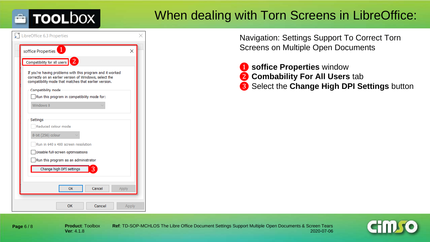# **TOOLDOX**

### When dealing with Torn Screens in LibreOffice:

| soffice Properties<br>$\times$                                                                                                                                               |
|------------------------------------------------------------------------------------------------------------------------------------------------------------------------------|
| Compatibility for all users 2                                                                                                                                                |
| If you're having problems with this program and it worked<br>correctly on an earlier version of Windows, select the<br>compatibility mode that matches that earlier version. |
| Compatibility mode                                                                                                                                                           |
| Run this program in compatibility mode for:                                                                                                                                  |
| Windows 8                                                                                                                                                                    |
|                                                                                                                                                                              |
| Settings                                                                                                                                                                     |
| Reduced colour mode                                                                                                                                                          |
| 8-bit (256) colour                                                                                                                                                           |
| Run in 640 x 480 screen resolution                                                                                                                                           |
| Disable full-screen optimisations                                                                                                                                            |
| Run this program as an administrator                                                                                                                                         |
| Change high DPI settings<br>3                                                                                                                                                |
|                                                                                                                                                                              |
| Cancel<br>OK<br>Apply                                                                                                                                                        |

Navigation: Settings Support To Correct Torn Screens on Multiple Open Documents

- ❶ **soffice Properties** window
- ❷ **Combability For All Users** tab
- ❸ Select the **Change High DPI Settings** button

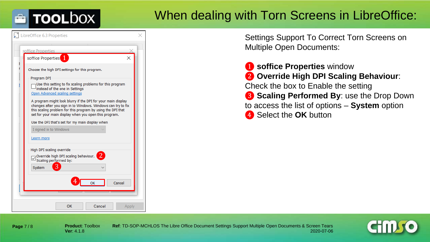# **TOOLDOX**

### When dealing with Torn Screens in LibreOffice:

| LibreOffice 6.3 Properties                                                                                                                                                                                                                           |  |
|------------------------------------------------------------------------------------------------------------------------------------------------------------------------------------------------------------------------------------------------------|--|
| soffice Properties                                                                                                                                                                                                                                   |  |
| soffice Properties <sup>1</sup>                                                                                                                                                                                                                      |  |
| Choose the high DPI settings for this program.                                                                                                                                                                                                       |  |
| Program DPI                                                                                                                                                                                                                                          |  |
| Use this setting to fix scaling problems for this program<br>instead of the one in Settings<br>Open Advanced scaling settings                                                                                                                        |  |
| A program might look blurry if the DPI for your main display<br>changes after you sign in to Windows. Windows can try to fix<br>this scaling problem for this program by using the DPI that<br>set for your main display when you open this program. |  |
| Use the DPI that's set for my main display when                                                                                                                                                                                                      |  |
| I signed in to Windows                                                                                                                                                                                                                               |  |
| Learn more                                                                                                                                                                                                                                           |  |
| High DPI scaling override<br>$\overline{2}$<br>Override high DPI scaling behaviour.<br>Scaling performed by:<br>3<br>System                                                                                                                          |  |
|                                                                                                                                                                                                                                                      |  |
| OK<br>Cancel                                                                                                                                                                                                                                         |  |
|                                                                                                                                                                                                                                                      |  |
| OK<br>Cancel<br>Apply                                                                                                                                                                                                                                |  |

Settings Support To Correct Torn Screens on Multiple Open Documents:

**1** soffice Properties window ❷ **Override High DPI Scaling Behaviour**: Check the box to Enable the setting **3 Scaling Performed By: use the Drop Down** to access the list of options – **System** option **4** Select the OK button